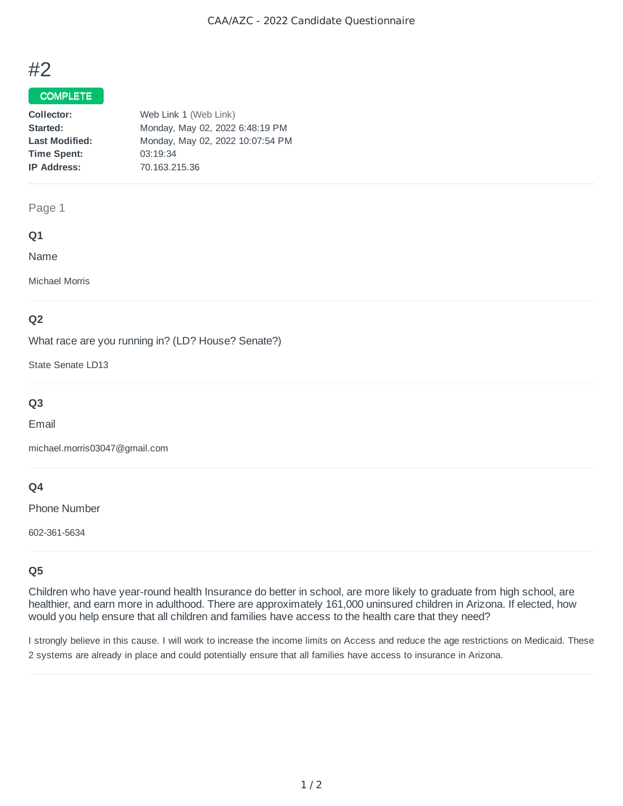# #2

## COMPLETE

| Web Link 1 (Web Link)            |
|----------------------------------|
| Monday, May 02, 2022 6:48:19 PM  |
| Monday, May 02, 2022 10:07:54 PM |
| 03:19:34                         |
| 70.163.215.36                    |
|                                  |

#### Page 1

## **Q1**

Name

Michael Morris

## **Q2**

What race are you running in? (LD? House? Senate?)

State Senate LD13

# **Q3**

Email

michael.morris03047@gmail.com

## **Q4**

Phone Number

602-361-5634

# **Q5**

Children who have year-round health Insurance do better in school, are more likely to graduate from high school, are healthier, and earn more in adulthood. There are approximately 161,000 uninsured children in Arizona. If elected, how would you help ensure that all children and families have access to the health care that they need?

I strongly believe in this cause. I will work to increase the income limits on Access and reduce the age restrictions on Medicaid. These 2 systems are already in place and could potentially ensure that all families have access to insurance in Arizona.